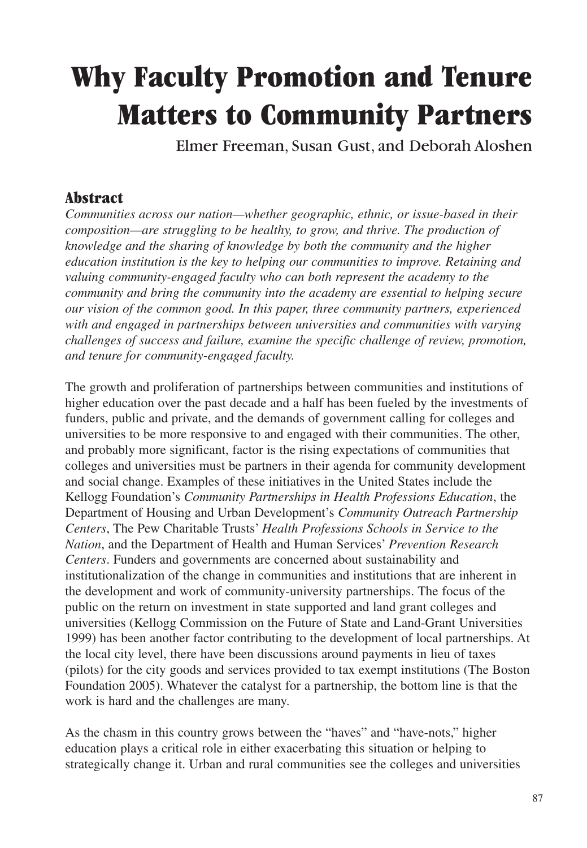# **Why Faculty Promotion and Tenure Matters to Community Partners**

Elmer Freeman, Susan Gust, and Deborah Aloshen

### **Abstract**

*Communities across our nation—whether geographic, ethnic, or issue-based in their composition—are struggling to be healthy, to grow, and thrive. The production of knowledge and the sharing of knowledge by both the community and the higher education institution is the key to helping our communities to improve. Retaining and valuing community-engaged faculty who can both represent the academy to the community and bring the community into the academy are essential to helping secure our vision of the common good. In this paper, three community partners, experienced with and engaged in partnerships between universities and communities with varying challenges of success and failure, examine the specific challenge of review, promotion, and tenure for community-engaged faculty.*

The growth and proliferation of partnerships between communities and institutions of higher education over the past decade and a half has been fueled by the investments of funders, public and private, and the demands of government calling for colleges and universities to be more responsive to and engaged with their communities. The other, and probably more significant, factor is the rising expectations of communities that colleges and universities must be partners in their agenda for community development and social change. Examples of these initiatives in the United States include the Kellogg Foundation's *Community Partnerships in Health Professions Education*, the Department of Housing and Urban Development's *Community Outreach Partnership Centers*, The Pew Charitable Trusts' *Health Professions Schools in Service to the Nation*, and the Department of Health and Human Services' *Prevention Research Centers*. Funders and governments are concerned about sustainability and institutionalization of the change in communities and institutions that are inherent in the development and work of community-university partnerships. The focus of the public on the return on investment in state supported and land grant colleges and universities (Kellogg Commission on the Future of State and Land-Grant Universities 1999) has been another factor contributing to the development of local partnerships. At the local city level, there have been discussions around payments in lieu of taxes (pilots) for the city goods and services provided to tax exempt institutions (The Boston Foundation 2005). Whatever the catalyst for a partnership, the bottom line is that the work is hard and the challenges are many.

As the chasm in this country grows between the "haves" and "have-nots," higher education plays a critical role in either exacerbating this situation or helping to strategically change it. Urban and rural communities see the colleges and universities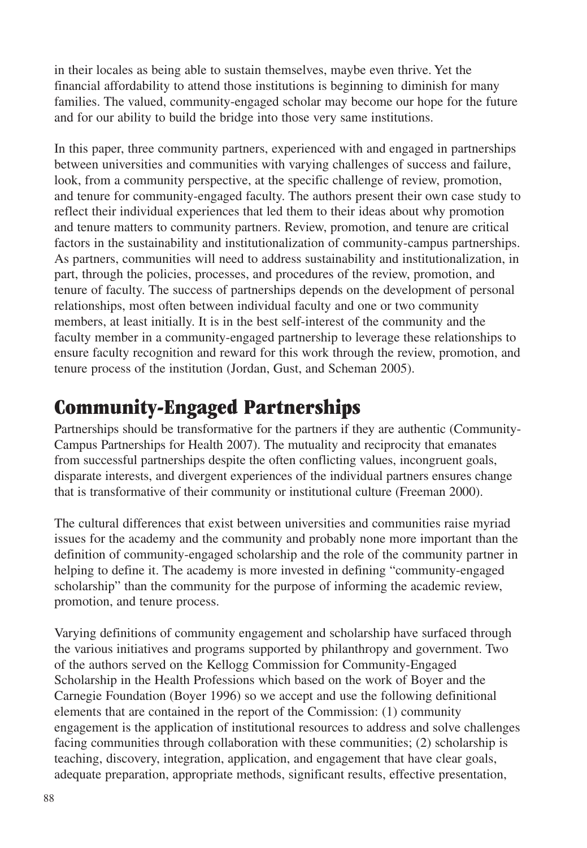in their locales as being able to sustain themselves, maybe even thrive. Yet the financial affordability to attend those institutions is beginning to diminish for many families. The valued, community-engaged scholar may become our hope for the future and for our ability to build the bridge into those very same institutions.

In this paper, three community partners, experienced with and engaged in partnerships between universities and communities with varying challenges of success and failure, look, from a community perspective, at the specific challenge of review, promotion, and tenure for community-engaged faculty. The authors present their own case study to reflect their individual experiences that led them to their ideas about why promotion and tenure matters to community partners. Review, promotion, and tenure are critical factors in the sustainability and institutionalization of community-campus partnerships. As partners, communities will need to address sustainability and institutionalization, in part, through the policies, processes, and procedures of the review, promotion, and tenure of faculty. The success of partnerships depends on the development of personal relationships, most often between individual faculty and one or two community members, at least initially. It is in the best self-interest of the community and the faculty member in a community-engaged partnership to leverage these relationships to ensure faculty recognition and reward for this work through the review, promotion, and tenure process of the institution (Jordan, Gust, and Scheman 2005).

# **Community-Engaged Partnerships**

Partnerships should be transformative for the partners if they are authentic (Community-Campus Partnerships for Health 2007). The mutuality and reciprocity that emanates from successful partnerships despite the often conflicting values, incongruent goals, disparate interests, and divergent experiences of the individual partners ensures change that is transformative of their community or institutional culture (Freeman 2000).

The cultural differences that exist between universities and communities raise myriad issues for the academy and the community and probably none more important than the definition of community-engaged scholarship and the role of the community partner in helping to define it. The academy is more invested in defining "community-engaged scholarship" than the community for the purpose of informing the academic review, promotion, and tenure process.

Varying definitions of community engagement and scholarship have surfaced through the various initiatives and programs supported by philanthropy and government. Two of the authors served on the Kellogg Commission for Community-Engaged Scholarship in the Health Professions which based on the work of Boyer and the Carnegie Foundation (Boyer 1996) so we accept and use the following definitional elements that are contained in the report of the Commission: (1) community engagement is the application of institutional resources to address and solve challenges facing communities through collaboration with these communities; (2) scholarship is teaching, discovery, integration, application, and engagement that have clear goals, adequate preparation, appropriate methods, significant results, effective presentation,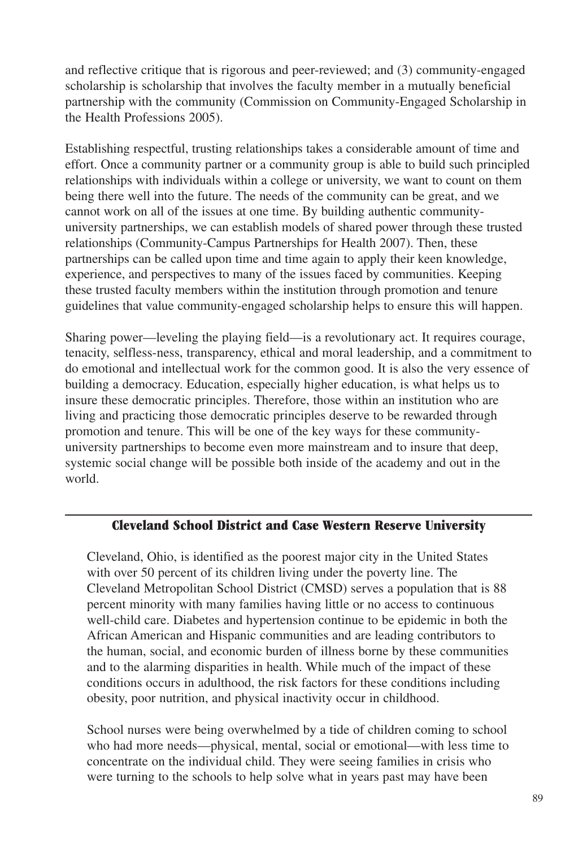and reflective critique that is rigorous and peer-reviewed; and (3) community-engaged scholarship is scholarship that involves the faculty member in a mutually beneficial partnership with the community (Commission on Community-Engaged Scholarship in the Health Professions 2005).

Establishing respectful, trusting relationships takes a considerable amount of time and effort. Once a community partner or a community group is able to build such principled relationships with individuals within a college or university, we want to count on them being there well into the future. The needs of the community can be great, and we cannot work on all of the issues at one time. By building authentic communityuniversity partnerships, we can establish models of shared power through these trusted relationships (Community-Campus Partnerships for Health 2007). Then, these partnerships can be called upon time and time again to apply their keen knowledge, experience, and perspectives to many of the issues faced by communities. Keeping these trusted faculty members within the institution through promotion and tenure guidelines that value community-engaged scholarship helps to ensure this will happen.

Sharing power—leveling the playing field—is a revolutionary act. It requires courage, tenacity, selfless-ness, transparency, ethical and moral leadership, and a commitment to do emotional and intellectual work for the common good. It is also the very essence of building a democracy. Education, especially higher education, is what helps us to insure these democratic principles. Therefore, those within an institution who are living and practicing those democratic principles deserve to be rewarded through promotion and tenure. This will be one of the key ways for these communityuniversity partnerships to become even more mainstream and to insure that deep, systemic social change will be possible both inside of the academy and out in the world.

#### **Cleveland School District and Case Western Reserve University**

Cleveland, Ohio, is identified as the poorest major city in the United States with over 50 percent of its children living under the poverty line. The Cleveland Metropolitan School District (CMSD) serves a population that is 88 percent minority with many families having little or no access to continuous well-child care. Diabetes and hypertension continue to be epidemic in both the African American and Hispanic communities and are leading contributors to the human, social, and economic burden of illness borne by these communities and to the alarming disparities in health. While much of the impact of these conditions occurs in adulthood, the risk factors for these conditions including obesity, poor nutrition, and physical inactivity occur in childhood.

School nurses were being overwhelmed by a tide of children coming to school who had more needs—physical, mental, social or emotional—with less time to concentrate on the individual child. They were seeing families in crisis who were turning to the schools to help solve what in years past may have been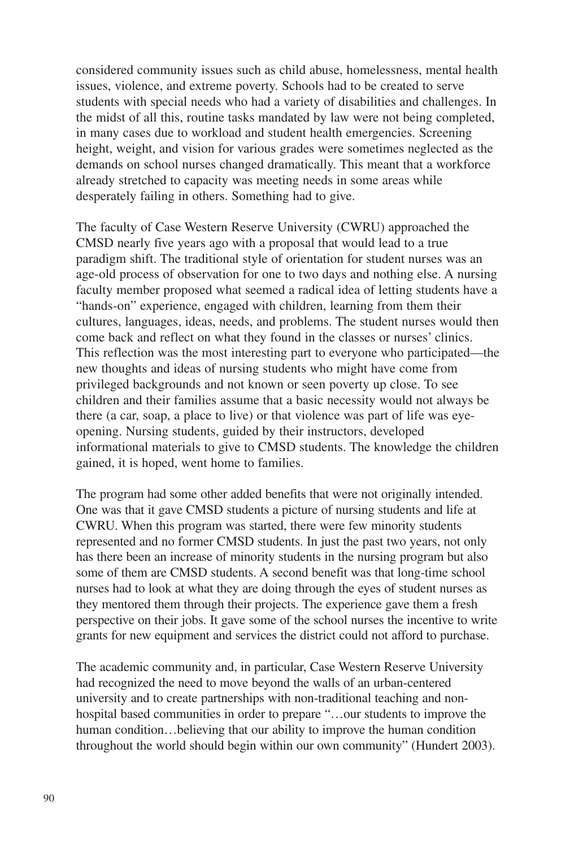considered community issues such as child abuse, homelessness, mental health issues, violence, and extreme poverty. Schools had to be created to serve students with special needs who had a variety of disabilities and challenges. In the midst of all this, routine tasks mandated by law were not being completed, in many cases due to workload and student health emergencies. Screening height, weight, and vision for various grades were sometimes neglected as the demands on school nurses changed dramatically. This meant that a workforce already stretched to capacity was meeting needs in some areas while desperately failing in others. Something had to give.

The faculty of Case Western Reserve University (CWRU) approached the CMSD nearly five years ago with a proposal that would lead to a true paradigm shift. The traditional style of orientation for student nurses was an age-old process of observation for one to two days and nothing else. A nursing faculty member proposed what seemed a radical idea of letting students have a "hands-on" experience, engaged with children, learning from them their cultures, languages, ideas, needs, and problems. The student nurses would then come back and reflect on what they found in the classes or nurses' clinics. This reflection was the most interesting part to everyone who participated—the new thoughts and ideas of nursing students who might have come from privileged backgrounds and not known or seen poverty up close. To see children and their families assume that a basic necessity would not always be there (a car, soap, a place to live) or that violence was part of life was eyeopening. Nursing students, guided by their instructors, developed informational materials to give to CMSD students. The knowledge the children gained, it is hoped, went home to families.

The program had some other added benefits that were not originally intended. One was that it gave CMSD students a picture of nursing students and life at CWRU. When this program was started, there were few minority students represented and no former CMSD students. In just the past two years, not only has there been an increase of minority students in the nursing program but also some of them are CMSD students. A second benefit was that long-time school nurses had to look at what they are doing through the eyes of student nurses as they mentored them through their projects. The experience gave them a fresh perspective on their jobs. It gave some of the school nurses the incentive to write grants for new equipment and services the district could not afford to purchase.

The academic community and, in particular, Case Western Reserve University had recognized the need to move beyond the walls of an urban-centered university and to create partnerships with non-traditional teaching and nonhospital based communities in order to prepare "…our students to improve the human condition...believing that our ability to improve the human condition throughout the world should begin within our own community" (Hundert 2003).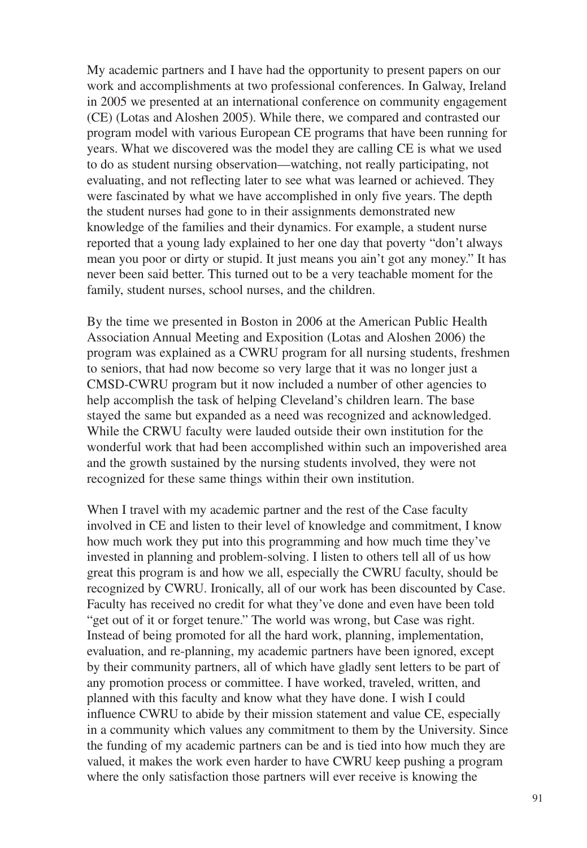My academic partners and I have had the opportunity to present papers on our work and accomplishments at two professional conferences. In Galway, Ireland in 2005 we presented at an international conference on community engagement (CE) (Lotas and Aloshen 2005). While there, we compared and contrasted our program model with various European CE programs that have been running for years. What we discovered was the model they are calling CE is what we used to do as student nursing observation—watching, not really participating, not evaluating, and not reflecting later to see what was learned or achieved. They were fascinated by what we have accomplished in only five years. The depth the student nurses had gone to in their assignments demonstrated new knowledge of the families and their dynamics. For example, a student nurse reported that a young lady explained to her one day that poverty "don't always mean you poor or dirty or stupid. It just means you ain't got any money." It has never been said better. This turned out to be a very teachable moment for the family, student nurses, school nurses, and the children.

By the time we presented in Boston in 2006 at the American Public Health Association Annual Meeting and Exposition (Lotas and Aloshen 2006) the program was explained as a CWRU program for all nursing students, freshmen to seniors, that had now become so very large that it was no longer just a CMSD-CWRU program but it now included a number of other agencies to help accomplish the task of helping Cleveland's children learn. The base stayed the same but expanded as a need was recognized and acknowledged. While the CRWU faculty were lauded outside their own institution for the wonderful work that had been accomplished within such an impoverished area and the growth sustained by the nursing students involved, they were not recognized for these same things within their own institution.

When I travel with my academic partner and the rest of the Case faculty involved in CE and listen to their level of knowledge and commitment, I know how much work they put into this programming and how much time they've invested in planning and problem-solving. I listen to others tell all of us how great this program is and how we all, especially the CWRU faculty, should be recognized by CWRU. Ironically, all of our work has been discounted by Case. Faculty has received no credit for what they've done and even have been told "get out of it or forget tenure." The world was wrong, but Case was right. Instead of being promoted for all the hard work, planning, implementation, evaluation, and re-planning, my academic partners have been ignored, except by their community partners, all of which have gladly sent letters to be part of any promotion process or committee. I have worked, traveled, written, and planned with this faculty and know what they have done. I wish I could influence CWRU to abide by their mission statement and value CE, especially in a community which values any commitment to them by the University. Since the funding of my academic partners can be and is tied into how much they are valued, it makes the work even harder to have CWRU keep pushing a program where the only satisfaction those partners will ever receive is knowing the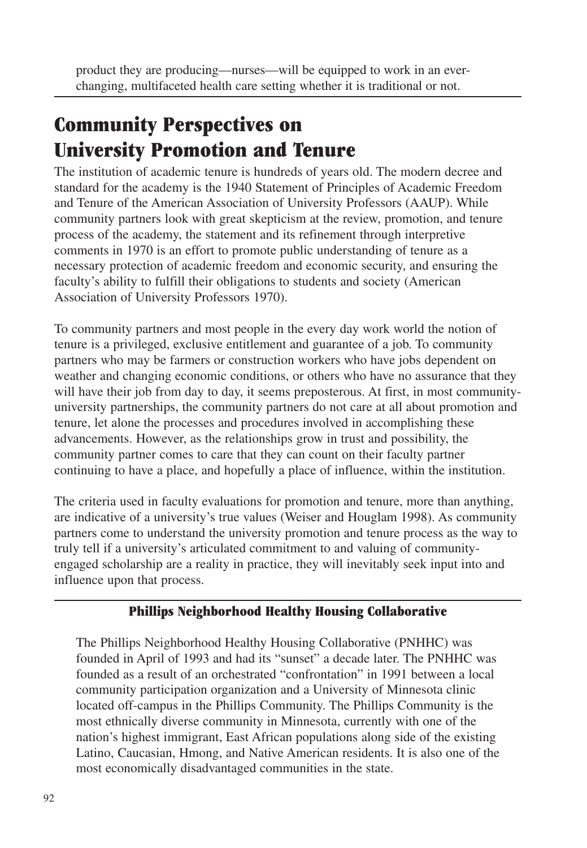product they are producing—nurses—will be equipped to work in an everchanging, multifaceted health care setting whether it is traditional or not.

# **Community Perspectives on University Promotion and Tenure**

The institution of academic tenure is hundreds of years old. The modern decree and standard for the academy is the 1940 Statement of Principles of Academic Freedom and Tenure of the American Association of University Professors (AAUP). While community partners look with great skepticism at the review, promotion, and tenure process of the academy, the statement and its refinement through interpretive comments in 1970 is an effort to promote public understanding of tenure as a necessary protection of academic freedom and economic security, and ensuring the faculty's ability to fulfill their obligations to students and society (American Association of University Professors 1970).

To community partners and most people in the every day work world the notion of tenure is a privileged, exclusive entitlement and guarantee of a job. To community partners who may be farmers or construction workers who have jobs dependent on weather and changing economic conditions, or others who have no assurance that they will have their job from day to day, it seems preposterous. At first, in most communityuniversity partnerships, the community partners do not care at all about promotion and tenure, let alone the processes and procedures involved in accomplishing these advancements. However, as the relationships grow in trust and possibility, the community partner comes to care that they can count on their faculty partner continuing to have a place, and hopefully a place of influence, within the institution.

The criteria used in faculty evaluations for promotion and tenure, more than anything, are indicative of a university's true values (Weiser and Houglam 1998). As community partners come to understand the university promotion and tenure process as the way to truly tell if a university's articulated commitment to and valuing of communityengaged scholarship are a reality in practice, they will inevitably seek input into and influence upon that process.

#### **Phillips Neighborhood Healthy Housing Collaborative**

The Phillips Neighborhood Healthy Housing Collaborative (PNHHC) was founded in April of 1993 and had its "sunset" a decade later. The PNHHC was founded as a result of an orchestrated "confrontation" in 1991 between a local community participation organization and a University of Minnesota clinic located off-campus in the Phillips Community. The Phillips Community is the most ethnically diverse community in Minnesota, currently with one of the nation's highest immigrant, East African populations along side of the existing Latino, Caucasian, Hmong, and Native American residents. It is also one of the most economically disadvantaged communities in the state.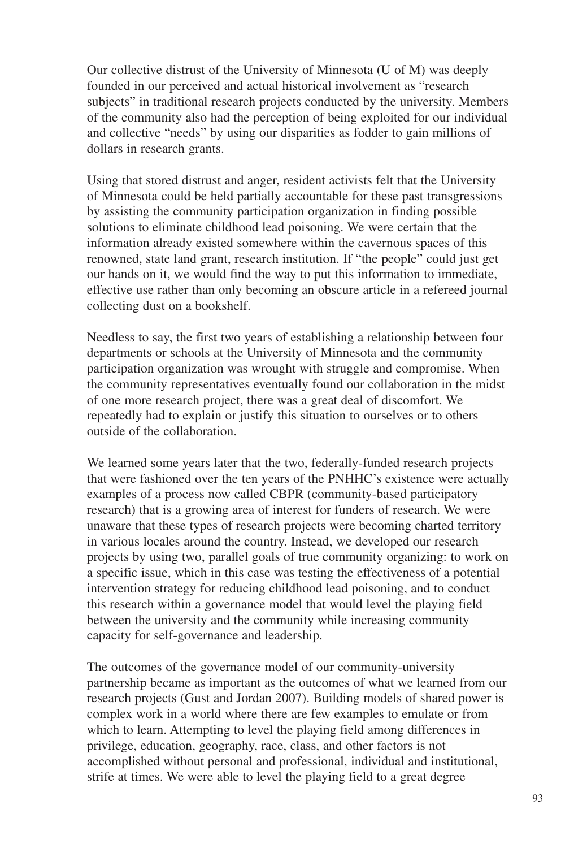Our collective distrust of the University of Minnesota (U of M) was deeply founded in our perceived and actual historical involvement as "research subjects" in traditional research projects conducted by the university. Members of the community also had the perception of being exploited for our individual and collective "needs" by using our disparities as fodder to gain millions of dollars in research grants.

Using that stored distrust and anger, resident activists felt that the University of Minnesota could be held partially accountable for these past transgressions by assisting the community participation organization in finding possible solutions to eliminate childhood lead poisoning. We were certain that the information already existed somewhere within the cavernous spaces of this renowned, state land grant, research institution. If "the people" could just get our hands on it, we would find the way to put this information to immediate, effective use rather than only becoming an obscure article in a refereed journal collecting dust on a bookshelf.

Needless to say, the first two years of establishing a relationship between four departments or schools at the University of Minnesota and the community participation organization was wrought with struggle and compromise. When the community representatives eventually found our collaboration in the midst of one more research project, there was a great deal of discomfort. We repeatedly had to explain or justify this situation to ourselves or to others outside of the collaboration.

We learned some years later that the two, federally-funded research projects that were fashioned over the ten years of the PNHHC's existence were actually examples of a process now called CBPR (community-based participatory research) that is a growing area of interest for funders of research. We were unaware that these types of research projects were becoming charted territory in various locales around the country. Instead, we developed our research projects by using two, parallel goals of true community organizing: to work on a specific issue, which in this case was testing the effectiveness of a potential intervention strategy for reducing childhood lead poisoning, and to conduct this research within a governance model that would level the playing field between the university and the community while increasing community capacity for self-governance and leadership.

The outcomes of the governance model of our community-university partnership became as important as the outcomes of what we learned from our research projects (Gust and Jordan 2007). Building models of shared power is complex work in a world where there are few examples to emulate or from which to learn. Attempting to level the playing field among differences in privilege, education, geography, race, class, and other factors is not accomplished without personal and professional, individual and institutional, strife at times. We were able to level the playing field to a great degree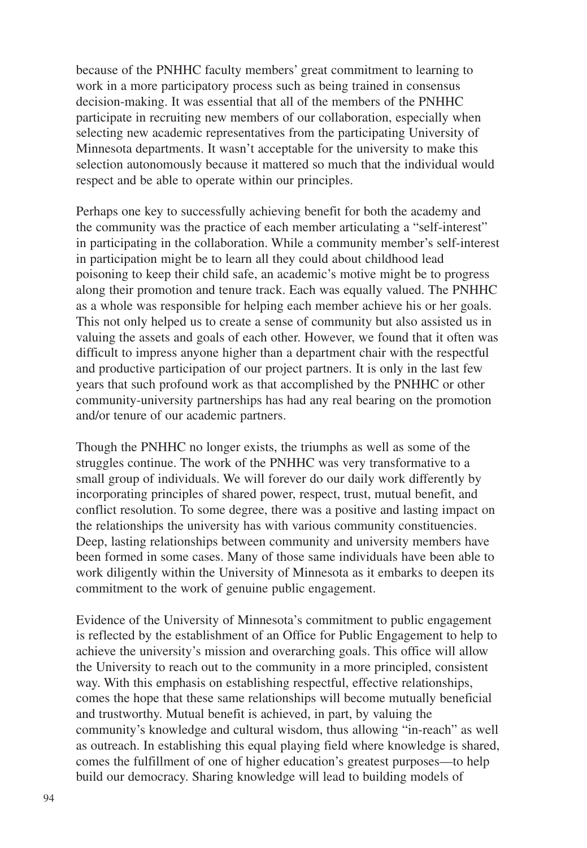because of the PNHHC faculty members' great commitment to learning to work in a more participatory process such as being trained in consensus decision-making. It was essential that all of the members of the PNHHC participate in recruiting new members of our collaboration, especially when selecting new academic representatives from the participating University of Minnesota departments. It wasn't acceptable for the university to make this selection autonomously because it mattered so much that the individual would respect and be able to operate within our principles.

Perhaps one key to successfully achieving benefit for both the academy and the community was the practice of each member articulating a "self-interest" in participating in the collaboration. While a community member's self-interest in participation might be to learn all they could about childhood lead poisoning to keep their child safe, an academic's motive might be to progress along their promotion and tenure track. Each was equally valued. The PNHHC as a whole was responsible for helping each member achieve his or her goals. This not only helped us to create a sense of community but also assisted us in valuing the assets and goals of each other. However, we found that it often was difficult to impress anyone higher than a department chair with the respectful and productive participation of our project partners. It is only in the last few years that such profound work as that accomplished by the PNHHC or other community-university partnerships has had any real bearing on the promotion and/or tenure of our academic partners.

Though the PNHHC no longer exists, the triumphs as well as some of the struggles continue. The work of the PNHHC was very transformative to a small group of individuals. We will forever do our daily work differently by incorporating principles of shared power, respect, trust, mutual benefit, and conflict resolution. To some degree, there was a positive and lasting impact on the relationships the university has with various community constituencies. Deep, lasting relationships between community and university members have been formed in some cases. Many of those same individuals have been able to work diligently within the University of Minnesota as it embarks to deepen its commitment to the work of genuine public engagement.

Evidence of the University of Minnesota's commitment to public engagement is reflected by the establishment of an Office for Public Engagement to help to achieve the university's mission and overarching goals. This office will allow the University to reach out to the community in a more principled, consistent way. With this emphasis on establishing respectful, effective relationships, comes the hope that these same relationships will become mutually beneficial and trustworthy. Mutual benefit is achieved, in part, by valuing the community's knowledge and cultural wisdom, thus allowing "in-reach" as well as outreach. In establishing this equal playing field where knowledge is shared, comes the fulfillment of one of higher education's greatest purposes—to help build our democracy. Sharing knowledge will lead to building models of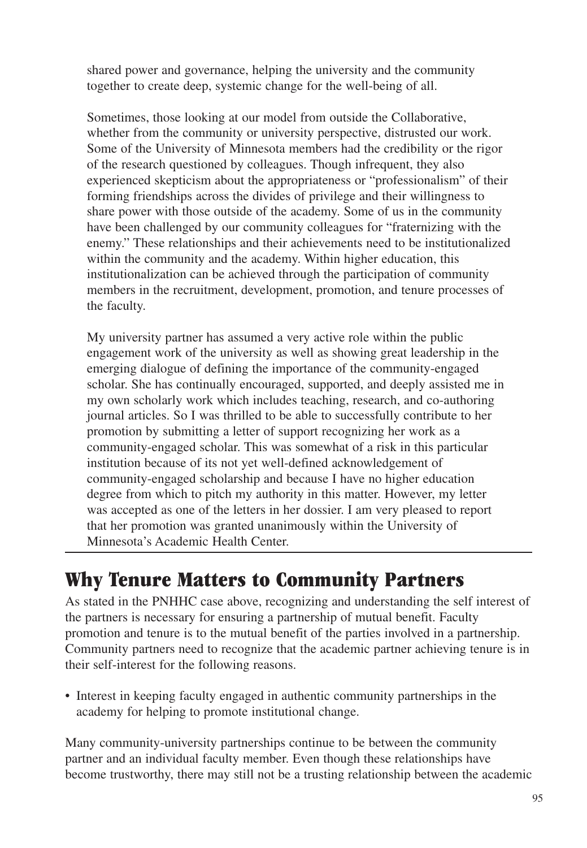shared power and governance, helping the university and the community together to create deep, systemic change for the well-being of all.

Sometimes, those looking at our model from outside the Collaborative, whether from the community or university perspective, distrusted our work. Some of the University of Minnesota members had the credibility or the rigor of the research questioned by colleagues. Though infrequent, they also experienced skepticism about the appropriateness or "professionalism" of their forming friendships across the divides of privilege and their willingness to share power with those outside of the academy. Some of us in the community have been challenged by our community colleagues for "fraternizing with the enemy." These relationships and their achievements need to be institutionalized within the community and the academy. Within higher education, this institutionalization can be achieved through the participation of community members in the recruitment, development, promotion, and tenure processes of the faculty.

My university partner has assumed a very active role within the public engagement work of the university as well as showing great leadership in the emerging dialogue of defining the importance of the community-engaged scholar. She has continually encouraged, supported, and deeply assisted me in my own scholarly work which includes teaching, research, and co-authoring journal articles. So I was thrilled to be able to successfully contribute to her promotion by submitting a letter of support recognizing her work as a community-engaged scholar. This was somewhat of a risk in this particular institution because of its not yet well-defined acknowledgement of community-engaged scholarship and because I have no higher education degree from which to pitch my authority in this matter. However, my letter was accepted as one of the letters in her dossier. I am very pleased to report that her promotion was granted unanimously within the University of Minnesota's Academic Health Center.

# **Why Tenure Matters to Community Partners**

As stated in the PNHHC case above, recognizing and understanding the self interest of the partners is necessary for ensuring a partnership of mutual benefit. Faculty promotion and tenure is to the mutual benefit of the parties involved in a partnership. Community partners need to recognize that the academic partner achieving tenure is in their self-interest for the following reasons.

• Interest in keeping faculty engaged in authentic community partnerships in the academy for helping to promote institutional change.

Many community-university partnerships continue to be between the community partner and an individual faculty member. Even though these relationships have become trustworthy, there may still not be a trusting relationship between the academic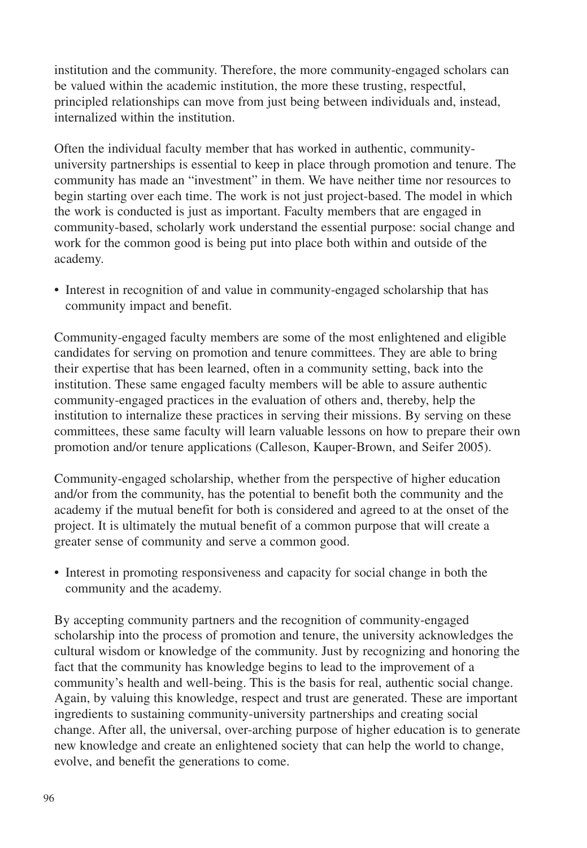institution and the community. Therefore, the more community-engaged scholars can be valued within the academic institution, the more these trusting, respectful, principled relationships can move from just being between individuals and, instead, internalized within the institution.

Often the individual faculty member that has worked in authentic, communityuniversity partnerships is essential to keep in place through promotion and tenure. The community has made an "investment" in them. We have neither time nor resources to begin starting over each time. The work is not just project-based. The model in which the work is conducted is just as important. Faculty members that are engaged in community-based, scholarly work understand the essential purpose: social change and work for the common good is being put into place both within and outside of the academy.

• Interest in recognition of and value in community-engaged scholarship that has community impact and benefit.

Community-engaged faculty members are some of the most enlightened and eligible candidates for serving on promotion and tenure committees. They are able to bring their expertise that has been learned, often in a community setting, back into the institution. These same engaged faculty members will be able to assure authentic community-engaged practices in the evaluation of others and, thereby, help the institution to internalize these practices in serving their missions. By serving on these committees, these same faculty will learn valuable lessons on how to prepare their own promotion and/or tenure applications (Calleson, Kauper-Brown, and Seifer 2005).

Community-engaged scholarship, whether from the perspective of higher education and/or from the community, has the potential to benefit both the community and the academy if the mutual benefit for both is considered and agreed to at the onset of the project. It is ultimately the mutual benefit of a common purpose that will create a greater sense of community and serve a common good.

• Interest in promoting responsiveness and capacity for social change in both the community and the academy.

By accepting community partners and the recognition of community-engaged scholarship into the process of promotion and tenure, the university acknowledges the cultural wisdom or knowledge of the community. Just by recognizing and honoring the fact that the community has knowledge begins to lead to the improvement of a community's health and well-being. This is the basis for real, authentic social change. Again, by valuing this knowledge, respect and trust are generated. These are important ingredients to sustaining community-university partnerships and creating social change. After all, the universal, over-arching purpose of higher education is to generate new knowledge and create an enlightened society that can help the world to change, evolve, and benefit the generations to come.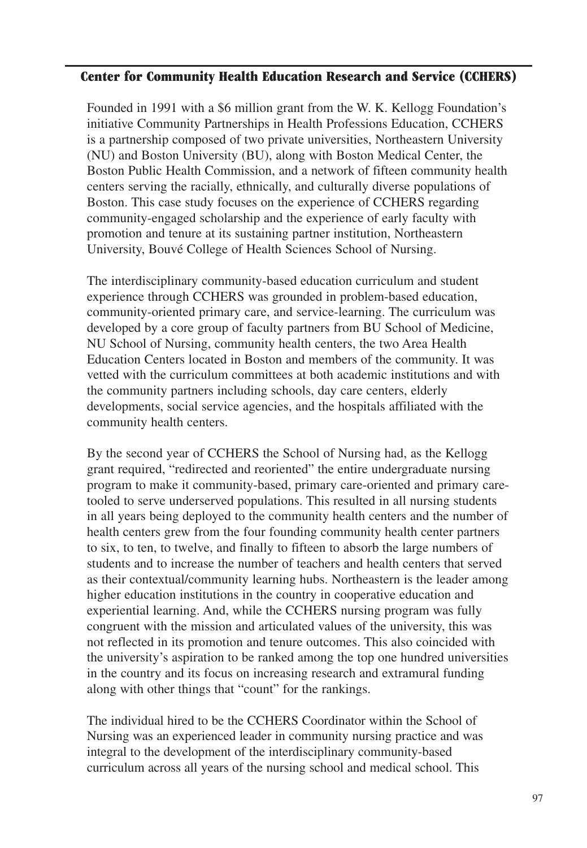#### **Center for Community Health Education Research and Service (CCHERS)**

Founded in 1991 with a \$6 million grant from the W. K. Kellogg Foundation's initiative Community Partnerships in Health Professions Education, CCHERS is a partnership composed of two private universities, Northeastern University (NU) and Boston University (BU), along with Boston Medical Center, the Boston Public Health Commission, and a network of fifteen community health centers serving the racially, ethnically, and culturally diverse populations of Boston. This case study focuses on the experience of CCHERS regarding community-engaged scholarship and the experience of early faculty with promotion and tenure at its sustaining partner institution, Northeastern University, Bouvé College of Health Sciences School of Nursing.

The interdisciplinary community-based education curriculum and student experience through CCHERS was grounded in problem-based education, community-oriented primary care, and service-learning. The curriculum was developed by a core group of faculty partners from BU School of Medicine, NU School of Nursing, community health centers, the two Area Health Education Centers located in Boston and members of the community. It was vetted with the curriculum committees at both academic institutions and with the community partners including schools, day care centers, elderly developments, social service agencies, and the hospitals affiliated with the community health centers.

By the second year of CCHERS the School of Nursing had, as the Kellogg grant required, "redirected and reoriented" the entire undergraduate nursing program to make it community-based, primary care-oriented and primary caretooled to serve underserved populations. This resulted in all nursing students in all years being deployed to the community health centers and the number of health centers grew from the four founding community health center partners to six, to ten, to twelve, and finally to fifteen to absorb the large numbers of students and to increase the number of teachers and health centers that served as their contextual/community learning hubs. Northeastern is the leader among higher education institutions in the country in cooperative education and experiential learning. And, while the CCHERS nursing program was fully congruent with the mission and articulated values of the university, this was not reflected in its promotion and tenure outcomes. This also coincided with the university's aspiration to be ranked among the top one hundred universities in the country and its focus on increasing research and extramural funding along with other things that "count" for the rankings.

The individual hired to be the CCHERS Coordinator within the School of Nursing was an experienced leader in community nursing practice and was integral to the development of the interdisciplinary community-based curriculum across all years of the nursing school and medical school. This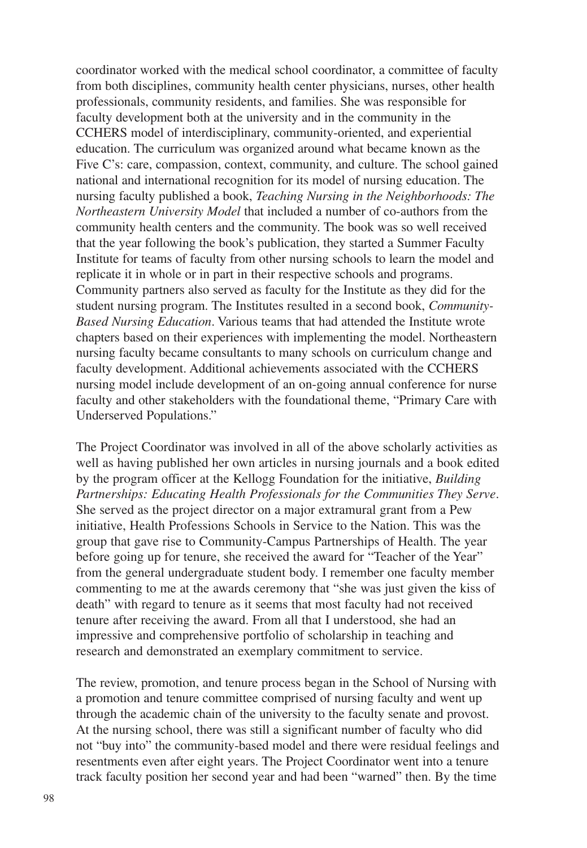coordinator worked with the medical school coordinator, a committee of faculty from both disciplines, community health center physicians, nurses, other health professionals, community residents, and families. She was responsible for faculty development both at the university and in the community in the CCHERS model of interdisciplinary, community-oriented, and experiential education. The curriculum was organized around what became known as the Five C's: care, compassion, context, community, and culture. The school gained national and international recognition for its model of nursing education. The nursing faculty published a book, *Teaching Nursing in the Neighborhoods: The Northeastern University Model* that included a number of co-authors from the community health centers and the community. The book was so well received that the year following the book's publication, they started a Summer Faculty Institute for teams of faculty from other nursing schools to learn the model and replicate it in whole or in part in their respective schools and programs. Community partners also served as faculty for the Institute as they did for the student nursing program. The Institutes resulted in a second book, *Community-Based Nursing Education*. Various teams that had attended the Institute wrote chapters based on their experiences with implementing the model. Northeastern nursing faculty became consultants to many schools on curriculum change and faculty development. Additional achievements associated with the CCHERS nursing model include development of an on-going annual conference for nurse faculty and other stakeholders with the foundational theme, "Primary Care with Underserved Populations."

The Project Coordinator was involved in all of the above scholarly activities as well as having published her own articles in nursing journals and a book edited by the program officer at the Kellogg Foundation for the initiative, *Building Partnerships: Educating Health Professionals for the Communities They Serve*. She served as the project director on a major extramural grant from a Pew initiative, Health Professions Schools in Service to the Nation. This was the group that gave rise to Community-Campus Partnerships of Health. The year before going up for tenure, she received the award for "Teacher of the Year" from the general undergraduate student body. I remember one faculty member commenting to me at the awards ceremony that "she was just given the kiss of death" with regard to tenure as it seems that most faculty had not received tenure after receiving the award. From all that I understood, she had an impressive and comprehensive portfolio of scholarship in teaching and research and demonstrated an exemplary commitment to service.

The review, promotion, and tenure process began in the School of Nursing with a promotion and tenure committee comprised of nursing faculty and went up through the academic chain of the university to the faculty senate and provost. At the nursing school, there was still a significant number of faculty who did not "buy into" the community-based model and there were residual feelings and resentments even after eight years. The Project Coordinator went into a tenure track faculty position her second year and had been "warned" then. By the time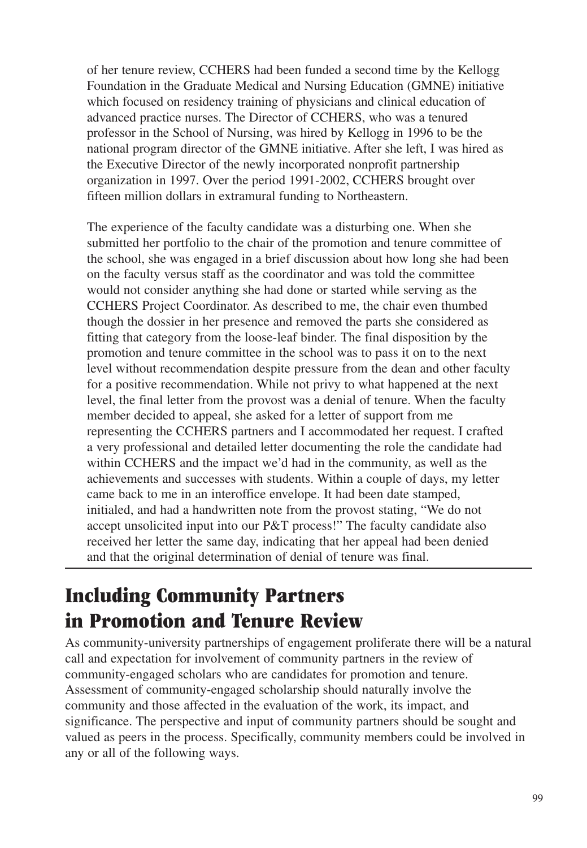of her tenure review, CCHERS had been funded a second time by the Kellogg Foundation in the Graduate Medical and Nursing Education (GMNE) initiative which focused on residency training of physicians and clinical education of advanced practice nurses. The Director of CCHERS, who was a tenured professor in the School of Nursing, was hired by Kellogg in 1996 to be the national program director of the GMNE initiative. After she left, I was hired as the Executive Director of the newly incorporated nonprofit partnership organization in 1997. Over the period 1991-2002, CCHERS brought over fifteen million dollars in extramural funding to Northeastern.

The experience of the faculty candidate was a disturbing one. When she submitted her portfolio to the chair of the promotion and tenure committee of the school, she was engaged in a brief discussion about how long she had been on the faculty versus staff as the coordinator and was told the committee would not consider anything she had done or started while serving as the CCHERS Project Coordinator. As described to me, the chair even thumbed though the dossier in her presence and removed the parts she considered as fitting that category from the loose-leaf binder. The final disposition by the promotion and tenure committee in the school was to pass it on to the next level without recommendation despite pressure from the dean and other faculty for a positive recommendation. While not privy to what happened at the next level, the final letter from the provost was a denial of tenure. When the faculty member decided to appeal, she asked for a letter of support from me representing the CCHERS partners and I accommodated her request. I crafted a very professional and detailed letter documenting the role the candidate had within CCHERS and the impact we'd had in the community, as well as the achievements and successes with students. Within a couple of days, my letter came back to me in an interoffice envelope. It had been date stamped, initialed, and had a handwritten note from the provost stating, "We do not accept unsolicited input into our P&T process!" The faculty candidate also received her letter the same day, indicating that her appeal had been denied and that the original determination of denial of tenure was final.

# **Including Community Partners in Promotion and Tenure Review**

As community-university partnerships of engagement proliferate there will be a natural call and expectation for involvement of community partners in the review of community-engaged scholars who are candidates for promotion and tenure. Assessment of community-engaged scholarship should naturally involve the community and those affected in the evaluation of the work, its impact, and significance. The perspective and input of community partners should be sought and valued as peers in the process. Specifically, community members could be involved in any or all of the following ways.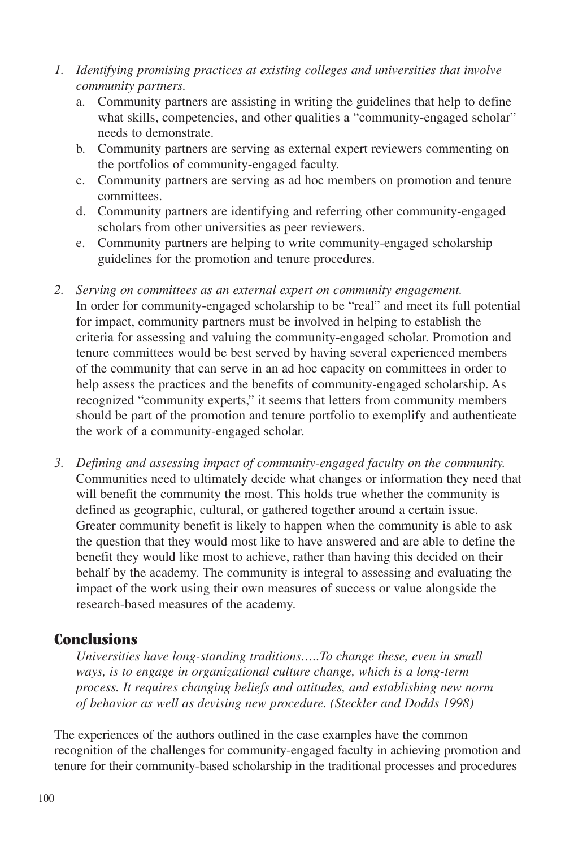- *1. Identifying promising practices at existing colleges and universities that involve community partners.*
	- a. Community partners are assisting in writing the guidelines that help to define what skills, competencies, and other qualities a "community-engaged scholar" needs to demonstrate.
	- b. Community partners are serving as external expert reviewers commenting on the portfolios of community-engaged faculty.
	- c. Community partners are serving as ad hoc members on promotion and tenure committees.
	- d. Community partners are identifying and referring other community-engaged scholars from other universities as peer reviewers.
	- e. Community partners are helping to write community-engaged scholarship guidelines for the promotion and tenure procedures.
- *2. Serving on committees as an external expert on community engagement.* In order for community-engaged scholarship to be "real" and meet its full potential for impact, community partners must be involved in helping to establish the criteria for assessing and valuing the community-engaged scholar. Promotion and tenure committees would be best served by having several experienced members of the community that can serve in an ad hoc capacity on committees in order to help assess the practices and the benefits of community-engaged scholarship. As recognized "community experts," it seems that letters from community members should be part of the promotion and tenure portfolio to exemplify and authenticate the work of a community-engaged scholar.
- *3. Defining and assessing impact of community-engaged faculty on the community.* Communities need to ultimately decide what changes or information they need that will benefit the community the most. This holds true whether the community is defined as geographic, cultural, or gathered together around a certain issue. Greater community benefit is likely to happen when the community is able to ask the question that they would most like to have answered and are able to define the benefit they would like most to achieve, rather than having this decided on their behalf by the academy. The community is integral to assessing and evaluating the impact of the work using their own measures of success or value alongside the research-based measures of the academy.

#### **Conclusions**

*Universities have long-standing traditions…..To change these, even in small ways, is to engage in organizational culture change, which is a long-term process. It requires changing beliefs and attitudes, and establishing new norm of behavior as well as devising new procedure. (Steckler and Dodds 1998)*

The experiences of the authors outlined in the case examples have the common recognition of the challenges for community-engaged faculty in achieving promotion and tenure for their community-based scholarship in the traditional processes and procedures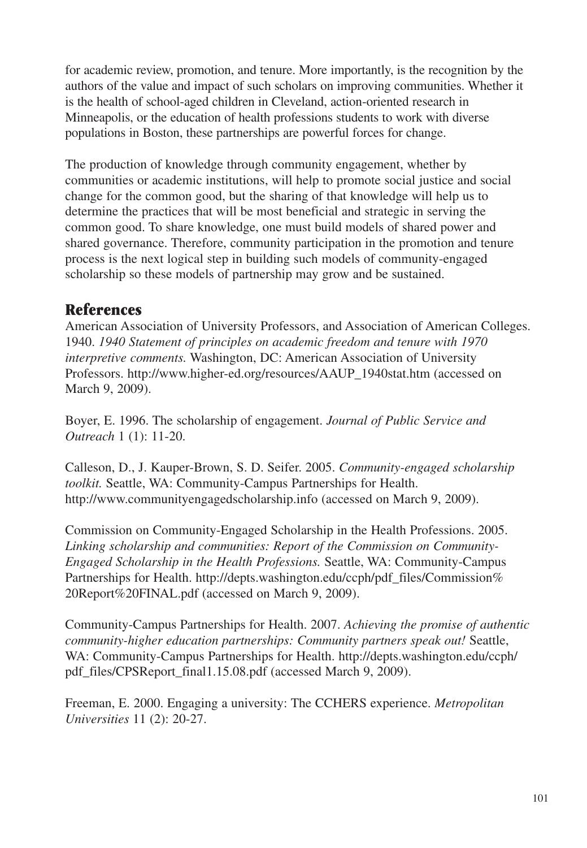for academic review, promotion, and tenure. More importantly, is the recognition by the authors of the value and impact of such scholars on improving communities. Whether it is the health of school-aged children in Cleveland, action-oriented research in Minneapolis, or the education of health professions students to work with diverse populations in Boston, these partnerships are powerful forces for change.

The production of knowledge through community engagement, whether by communities or academic institutions, will help to promote social justice and social change for the common good, but the sharing of that knowledge will help us to determine the practices that will be most beneficial and strategic in serving the common good. To share knowledge, one must build models of shared power and shared governance. Therefore, community participation in the promotion and tenure process is the next logical step in building such models of community-engaged scholarship so these models of partnership may grow and be sustained.

### **References**

American Association of University Professors, and Association of American Colleges. 1940. *1940 Statement of principles on academic freedom and tenure with 1970 interpretive comments.* Washington, DC: American Association of University Professors. http://www.higher-ed.org/resources/AAUP\_1940stat.htm (accessed on March 9, 2009).

Boyer, E. 1996. The scholarship of engagement. *Journal of Public Service and Outreach* 1 (1): 11-20.

Calleson, D., J. Kauper-Brown, S. D. Seifer. 2005. *Community-engaged scholarship toolkit.* Seattle, WA: Community-Campus Partnerships for Health. http://www.communityengagedscholarship.info (accessed on March 9, 2009).

Commission on Community-Engaged Scholarship in the Health Professions. 2005. *Linking scholarship and communities: Report of the Commission on Community-Engaged Scholarship in the Health Professions.* Seattle, WA: Community-Campus Partnerships for Health. http://depts.washington.edu/ccph/pdf\_files/Commission% 20Report%20FINAL.pdf (accessed on March 9, 2009).

Community-Campus Partnerships for Health. 2007. *Achieving the promise of authentic community-higher education partnerships: Community partners speak out!* Seattle, WA: Community-Campus Partnerships for Health. http://depts.washington.edu/ccph/ pdf\_files/CPSReport\_final1.15.08.pdf (accessed March 9, 2009).

Freeman, E. 2000. Engaging a university: The CCHERS experience. *Metropolitan Universities* 11 (2): 20-27.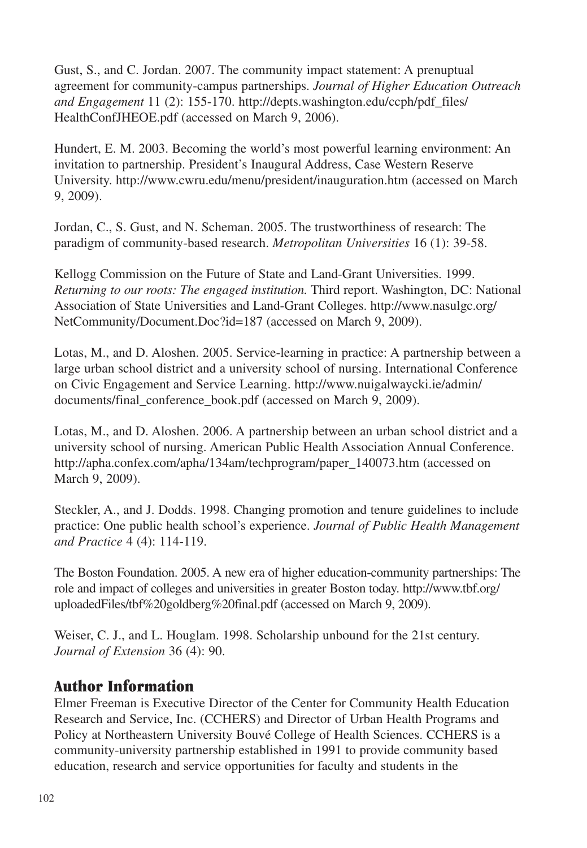Gust, S., and C. Jordan. 2007. The community impact statement: A prenuptual agreement for community-campus partnerships. *Journal of Higher Education Outreach and Engagement* 11 (2): 155-170. http://depts.washington.edu/ccph/pdf\_files/ HealthConfJHEOE.pdf (accessed on March 9, 2006).

Hundert, E. M. 2003. Becoming the world's most powerful learning environment: An invitation to partnership. President's Inaugural Address, Case Western Reserve University. http://www.cwru.edu/menu/president/inauguration.htm (accessed on March 9, 2009).

Jordan, C., S. Gust, and N. Scheman. 2005. The trustworthiness of research: The paradigm of community-based research. *Metropolitan Universities* 16 (1): 39-58.

Kellogg Commission on the Future of State and Land-Grant Universities. 1999. *Returning to our roots: The engaged institution.* Third report. Washington, DC: National Association of State Universities and Land-Grant Colleges. http://www.nasulgc.org/ NetCommunity/Document.Doc?id=187 (accessed on March 9, 2009).

Lotas, M., and D. Aloshen. 2005. Service-learning in practice: A partnership between a large urban school district and a university school of nursing. International Conference on Civic Engagement and Service Learning. http://www.nuigalwaycki.ie/admin/ documents/final\_conference\_book.pdf (accessed on March 9, 2009).

Lotas, M., and D. Aloshen. 2006. A partnership between an urban school district and a university school of nursing. American Public Health Association Annual Conference. http://apha.confex.com/apha/134am/techprogram/paper\_140073.htm (accessed on March 9, 2009).

Steckler, A., and J. Dodds. 1998. Changing promotion and tenure guidelines to include practice: One public health school's experience. *Journal of Public Health Management and Practice* 4 (4): 114-119.

The Boston Foundation. 2005. A new era of higher education-community partnerships: The role and impact of colleges and universities in greater Boston today. http://www.tbf.org/ uploadedFiles/tbf%20goldberg%20final.pdf (accessed on March 9, 2009).

Weiser, C. J., and L. Houglam. 1998. Scholarship unbound for the 21st century. *Journal of Extension* 36 (4): 90.

### **Author Information**

Elmer Freeman is Executive Director of the Center for Community Health Education Research and Service, Inc. (CCHERS) and Director of Urban Health Programs and Policy at Northeastern University Bouvé College of Health Sciences. CCHERS is a community-university partnership established in 1991 to provide community based education, research and service opportunities for faculty and students in the